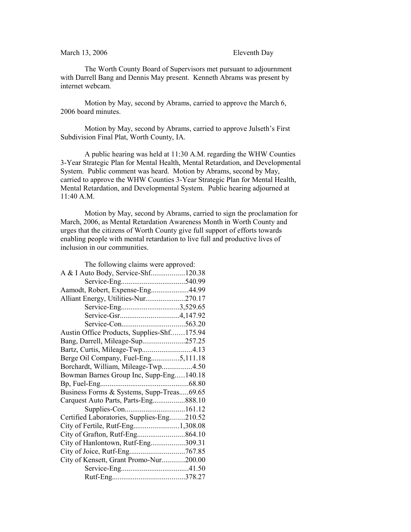## March 13, 2006 Eleventh Day

The Worth County Board of Supervisors met pursuant to adjournment with Darrell Bang and Dennis May present. Kenneth Abrams was present by internet webcam.

Motion by May, second by Abrams, carried to approve the March 6, 2006 board minutes.

Motion by May, second by Abrams, carried to approve Julseth's First Subdivision Final Plat, Worth County, IA.

A public hearing was held at 11:30 A.M. regarding the WHW Counties 3-Year Strategic Plan for Mental Health, Mental Retardation, and Developmental System. Public comment was heard. Motion by Abrams, second by May, carried to approve the WHW Counties 3-Year Strategic Plan for Mental Health, Mental Retardation, and Developmental System. Public hearing adjourned at 11:40 A.M.

Motion by May, second by Abrams, carried to sign the proclamation for March, 2006, as Mental Retardation Awareness Month in Worth County and urges that the citizens of Worth County give full support of efforts towards enabling people with mental retardation to live full and productive lives of inclusion in our communities.

| The following claims were approved:        |  |
|--------------------------------------------|--|
| A & I Auto Body, Service-Shf120.38         |  |
|                                            |  |
| Aamodt, Robert, Expense-Eng44.99           |  |
| Alliant Energy, Utilities-Nur270.17        |  |
| Service-Eng3,529.65                        |  |
|                                            |  |
|                                            |  |
| Austin Office Products, Supplies-Shf175.94 |  |
| Bang, Darrell, Mileage-Sup257.25           |  |
| Bartz, Curtis, Mileage-Twp4.13             |  |
| Berge Oil Company, Fuel-Eng5,111.18        |  |
| Borchardt, William, Mileage-Twp4.50        |  |
| Bowman Barnes Group Inc, Supp-Eng140.18    |  |
|                                            |  |
| Business Forms & Systems, Supp-Treas69.65  |  |
| Carquest Auto Parts, Parts-Eng888.10       |  |
|                                            |  |
| Certified Laboratories, Supplies-Eng210.52 |  |
|                                            |  |
|                                            |  |
| City of Hanlontown, Rutf-Eng309.31         |  |
|                                            |  |
| City of Kensett, Grant Promo-Nur200.00     |  |
|                                            |  |
|                                            |  |
|                                            |  |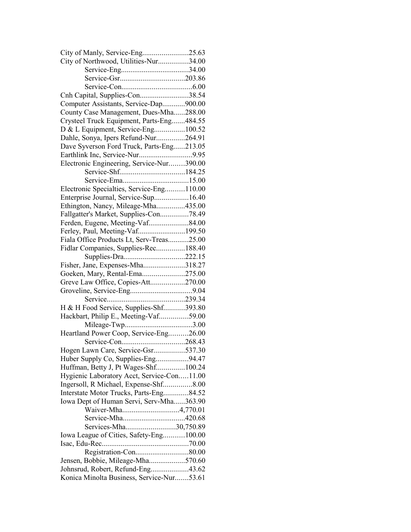| City of Manly, Service-Eng25.63            |  |
|--------------------------------------------|--|
| City of Northwood, Utilities-Nur34.00      |  |
|                                            |  |
|                                            |  |
|                                            |  |
| Cnh Capital, Supplies-Con38.54             |  |
| Computer Assistants, Service-Dap900.00     |  |
| County Case Management, Dues-Mha288.00     |  |
| Crysteel Truck Equipment, Parts-Eng484.55  |  |
| D & L Equipment, Service-Eng100.52         |  |
| Dahle, Sonya, Ipers Refund-Nur264.91       |  |
| Dave Syverson Ford Truck, Parts-Eng213.05  |  |
|                                            |  |
| Electronic Engineering, Service-Nur390.00  |  |
|                                            |  |
|                                            |  |
| Electronic Specialties, Service-Eng110.00  |  |
| Enterprise Journal, Service-Sup16.40       |  |
| Ethington, Nancy, Mileage-Mha435.00        |  |
| Fallgatter's Market, Supplies-Con78.49     |  |
| Ferden, Eugene, Meeting-Vaf84.00           |  |
| Ferley, Paul, Meeting-Vaf199.50            |  |
| Fiala Office Products Lt, Serv-Treas25.00  |  |
| Fidlar Companies, Supplies-Rec188.40       |  |
|                                            |  |
| Fisher, Jane, Expenses-Mha318.27           |  |
| Goeken, Mary, Rental-Ema275.00             |  |
| Greve Law Office, Copies-Att270.00         |  |
|                                            |  |
|                                            |  |
| H & H Food Service, Supplies-Shf393.80     |  |
| Hackbart, Philip E., Meeting-Vaf59.00      |  |
|                                            |  |
| Heartland Power Coop, Service-Eng26.00     |  |
|                                            |  |
| Hogen Lawn Care, Service-Gsr537.30         |  |
| Huber Supply Co, Supplies-Eng94.47         |  |
| Huffman, Betty J, Pt Wages-Shf100.24       |  |
| Hygienic Laboratory Acct, Service-Con11.00 |  |
| Ingersoll, R Michael, Expense-Shf8.00      |  |
| Interstate Motor Trucks, Parts-Eng84.52    |  |
| Iowa Dept of Human Servi, Serv-Mha363.90   |  |
| Waiver-Mha4,770.01                         |  |
|                                            |  |
| Services-Mha30,750.89                      |  |
| Iowa League of Cities, Safety-Eng100.00    |  |
|                                            |  |
|                                            |  |
| Jensen, Bobbie, Mileage-Mha570.60          |  |
| Johnsrud, Robert, Refund-Eng43.62          |  |
|                                            |  |
| Konica Minolta Business, Service-Nur53.61  |  |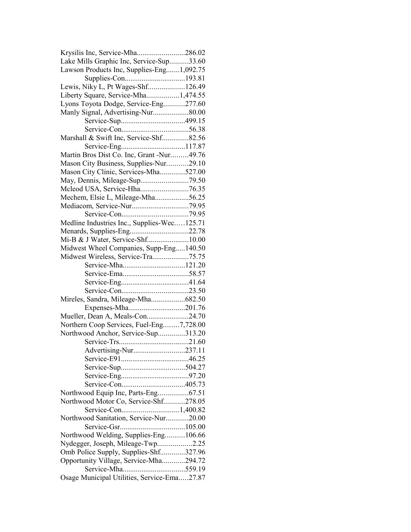| Krysilis Inc, Service-Mha286.02             |  |
|---------------------------------------------|--|
| Lake Mills Graphic Inc, Service-Sup33.60    |  |
| Lawson Products Inc, Supplies-Eng1,092.75   |  |
|                                             |  |
| Lewis, Niky L, Pt Wages-Shf126.49           |  |
| Liberty Square, Service-Mha1,474.55         |  |
| Lyons Toyota Dodge, Service-Eng277.60       |  |
| Manly Signal, Advertising-Nur80.00          |  |
|                                             |  |
|                                             |  |
| Marshall & Swift Inc, Service-Shf82.56      |  |
|                                             |  |
| Martin Bros Dist Co. Inc, Grant -Nur49.76   |  |
|                                             |  |
| Mason City Business, Supplies-Nur29.10      |  |
| Mason City Clinic, Services-Mha527.00       |  |
|                                             |  |
| Mcleod USA, Service-Hha76.35                |  |
| Mechem, Elsie L, Mileage-Mha56.25           |  |
|                                             |  |
|                                             |  |
| Medline Industries Inc., Supplies-Wec125.71 |  |
| Menards, Supplies-Eng22.78                  |  |
| Mi-B & J Water, Service-Shf10.00            |  |
| Midwest Wheel Companies, Supp-Eng140.50     |  |
| Midwest Wireless, Service-Tra75.75          |  |
|                                             |  |
|                                             |  |
|                                             |  |
|                                             |  |
| Mireles, Sandra, Mileage-Mha682.50          |  |
| Expenses-Mha201.76                          |  |
| Mueller, Dean A, Meals-Con24.70             |  |
| Northern Coop Services, Fuel-Eng7,728.00    |  |
| Northwood Anchor, Service-Sup313.20         |  |
|                                             |  |
|                                             |  |
| Advertising-Nur237.11                       |  |
|                                             |  |
|                                             |  |
|                                             |  |
|                                             |  |
| Northwood Equip Inc, Parts-Eng67.51         |  |
| Northwood Motor Co, Service-Shf278.05       |  |
|                                             |  |
| Northwood Sanitation, Service-Nur20.00      |  |
|                                             |  |
| Northwood Welding, Supplies-Eng106.66       |  |
| Nydegger, Joseph, Mileage-Twp2.25           |  |
| Omb Police Supply, Supplies-Shf327.96       |  |
| Opportunity Village, Service-Mha294.72      |  |
|                                             |  |
| Osage Municipal Utilities, Service-Ema27.87 |  |